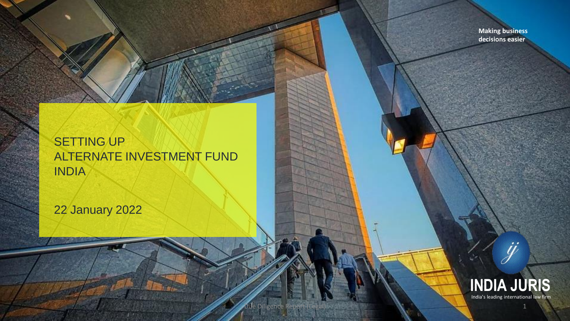**Making business decisions easier**

### **SETTING UP** ALTERNATE INVESTMENT FUND INDIA

Due Diligence

22 January 2022

Projector

<u>Nutrity of the second second second second second second second second second second second second second second second second second second second second second second second second second second second second second sec</u>



ÿ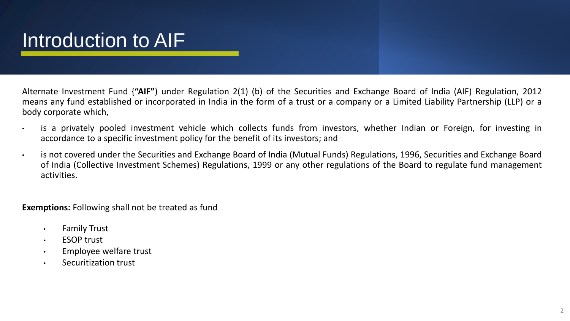## Introduction to AIF

Alternate Investment Fund {**"AIF"**) under Regulation 2(1) (b) of the Securities and Exchange Board of India (AIF) Regulation, 2012 means any fund established or incorporated in India in the form of a trust or a company or a Limited Liability Partnership (LLP) or a body corporate which,

- is a privately pooled investment vehicle which collects funds from investors, whether Indian or Foreign, for investing in accordance to a specific investment policy for the benefit of its investors; and
- is not covered under the Securities and Exchange Board of India (Mutual Funds) Regulations, 1996, Securities and Exchange Board of India (Collective Investment Schemes) Regulations, 1999 or any other regulations of the Board to regulate fund management activities.

**Exemptions:** Following shall not be treated as fund

- Family Trust
- ESOP trust
- Employee welfare trust
- Securitization trust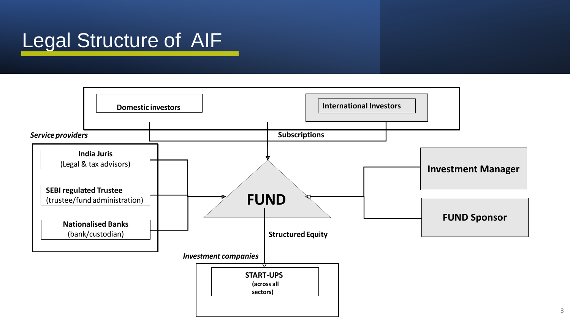### Legal Structure of AIF

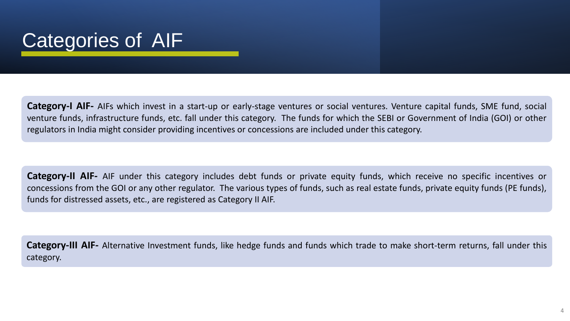### Categories of AIF

**Category-I AIF-** AIFs which invest in a start-up or early-stage ventures or social ventures. Venture capital funds, SME fund, social venture funds, infrastructure funds, etc. fall under this category. The funds for which the SEBI or Government of India (GOI) or other regulators in India might consider providing incentives or concessions are included under this category.

**Category-II AIF-** AIF under this category includes debt funds or private equity funds, which receive no specific incentives or concessions from the GOI or any other regulator. The various types of funds, such as real estate funds, private equity funds (PE funds), funds for distressed assets, etc., are registered as Category II AIF.

**Category-III AIF-** Alternative Investment funds, like hedge funds and funds which trade to make short-term returns, fall under this category.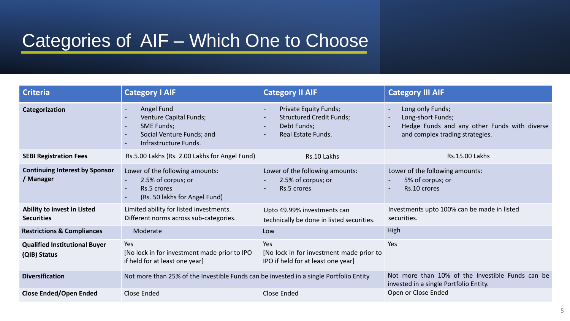### Categories of AIF – Which One to Choose

| <b>Criteria</b>                                      | <b>Category I AIF</b>                                                                                           | <b>Category II AIF</b>                                                                                                                                | <b>Category III AIF</b>                                                                                                  |
|------------------------------------------------------|-----------------------------------------------------------------------------------------------------------------|-------------------------------------------------------------------------------------------------------------------------------------------------------|--------------------------------------------------------------------------------------------------------------------------|
| Categorization                                       | Angel Fund<br>Venture Capital Funds;<br><b>SME Funds;</b><br>Social Venture Funds; and<br>Infrastructure Funds. | Private Equity Funds;<br>$\sim$<br><b>Structured Credit Funds;</b><br>Debt Funds;<br>$\overline{\phantom{0}}$<br>Real Estate Funds.<br>$\blacksquare$ | Long only Funds;<br>Long-short Funds;<br>Hedge Funds and any other Funds with diverse<br>and complex trading strategies. |
| <b>SEBI Registration Fees</b>                        | Rs.5.00 Lakhs (Rs. 2.00 Lakhs for Angel Fund)                                                                   | Rs.10 Lakhs                                                                                                                                           | <b>Rs.15.00 Lakhs</b>                                                                                                    |
| <b>Continuing Interest by Sponsor</b><br>/ Manager   | Lower of the following amounts:<br>2.5% of corpus; or<br>Rs.5 crores<br>(Rs. 50 lakhs for Angel Fund)           | Lower of the following amounts:<br>2.5% of corpus; or<br>Rs.5 crores                                                                                  | Lower of the following amounts:<br>5% of corpus; or<br>Rs.10 crores                                                      |
| Ability to invest in Listed<br><b>Securities</b>     | Limited ability for listed investments.<br>Different norms across sub-categories.                               | Upto 49.99% investments can<br>technically be done in listed securities.                                                                              | Investments upto 100% can be made in listed<br>securities.                                                               |
| <b>Restrictions &amp; Compliances</b>                | Moderate                                                                                                        | Low                                                                                                                                                   | High                                                                                                                     |
| <b>Qualified Institutional Buyer</b><br>(QIB) Status | Yes<br>[No lock in for investment made prior to IPO<br>if held for at least one year]                           | Yes<br>[No lock in for investment made prior to<br>IPO if held for at least one year]                                                                 | Yes                                                                                                                      |
| <b>Diversification</b>                               | Not more than 25% of the Investible Funds can be invested in a single Portfolio Entity                          |                                                                                                                                                       | Not more than 10% of the Investible Funds can be<br>invested in a single Portfolio Entity.                               |
| <b>Close Ended/Open Ended</b>                        | Close Ended                                                                                                     | Close Ended                                                                                                                                           | Open or Close Ended                                                                                                      |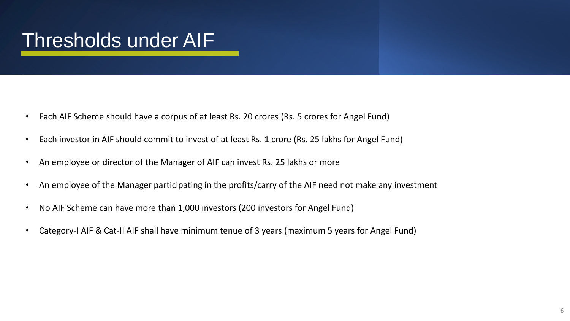## Thresholds under AIF

- Each AIF Scheme should have a corpus of at least Rs. 20 crores (Rs. 5 crores for Angel Fund)
- Each investor in AIF should commit to invest of at least Rs. 1 crore (Rs. 25 lakhs for Angel Fund)
- An employee or director of the Manager of AIF can invest Rs. 25 lakhs or more
- An employee of the Manager participating in the profits/carry of the AIF need not make any investment
- No AIF Scheme can have more than 1,000 investors (200 investors for Angel Fund)
- Category-I AIF & Cat-II AIF shall have minimum tenue of 3 years (maximum 5 years for Angel Fund)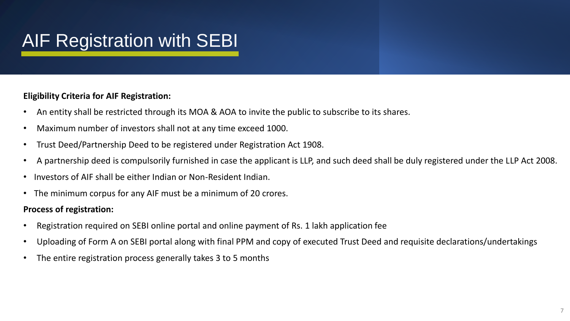### AIF Registration with SEBI

### **Eligibility Criteria for AIF Registration:**

- An entity shall be restricted through its MOA & AOA to invite the public to subscribe to its shares.
- Maximum number of investors shall not at any time exceed 1000.
- Trust Deed/Partnership Deed to be registered under Registration Act 1908.
- A partnership deed is compulsorily furnished in case the applicant is LLP, and such deed shall be duly registered under the LLP Act 2008.
- Investors of AIF shall be either Indian or Non-Resident Indian.
- The minimum corpus for any AIF must be a minimum of 20 crores.

### **Process of registration:**

- Registration required on SEBI online portal and online payment of Rs. 1 lakh application fee
- Uploading of Form A on SEBI portal along with final PPM and copy of executed Trust Deed and requisite declarations/undertakings
- The entire registration process generally takes 3 to 5 months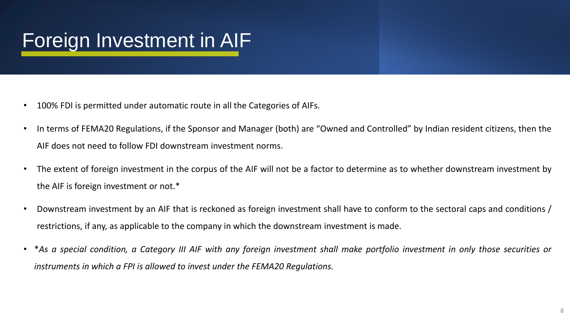## Foreign Investment in AIF

- 100% FDI is permitted under automatic route in all the Categories of AIFs.
- In terms of FEMA20 Regulations, if the Sponsor and Manager (both) are "Owned and Controlled" by Indian resident citizens, then the AIF does not need to follow FDI downstream investment norms.
- The extent of foreign investment in the corpus of the AIF will not be a factor to determine as to whether downstream investment by the AIF is foreign investment or not.\*
- Downstream investment by an AIF that is reckoned as foreign investment shall have to conform to the sectoral caps and conditions / restrictions, if any, as applicable to the company in which the downstream investment is made.
- \*As a special condition, a Category III AIF with any foreign investment shall make portfolio investment in only those securities or *instruments in which a FPI is allowed to invest under the FEMA20 Regulations.*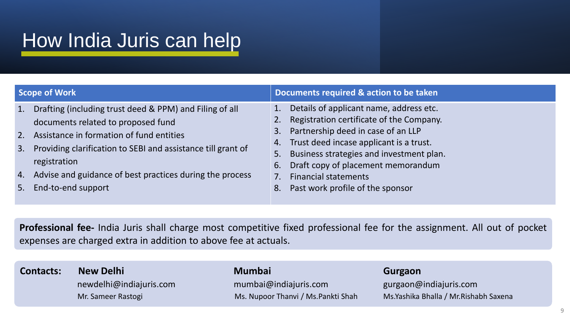## How India Juris can help

| Scope of Work                                                                                                                                                                                                                                                                                                                                                                                                      | Documents required & action to be taken                                                                                                                                                                                                                                                    |  |
|--------------------------------------------------------------------------------------------------------------------------------------------------------------------------------------------------------------------------------------------------------------------------------------------------------------------------------------------------------------------------------------------------------------------|--------------------------------------------------------------------------------------------------------------------------------------------------------------------------------------------------------------------------------------------------------------------------------------------|--|
| Drafting (including trust deed & PPM) and Filing of all<br>1.<br>$\mathbf{1}$ .<br>documents related to proposed fund<br>3.<br>Assistance in formation of fund entities<br>2.<br>4.<br>Providing clarification to SEBI and assistance till grant of<br>3.<br>5.<br>registration<br>6.<br>Advise and guidance of best practices during the process<br>4.<br><b>Financial statements</b><br>End-to-end support<br>8. | Details of applicant name, address etc.<br>Registration certificate of the Company.<br>Partnership deed in case of an LLP<br>Trust deed incase applicant is a trust.<br>Business strategies and investment plan.<br>Draft copy of placement memorandum<br>Past work profile of the sponsor |  |

**Professional fee-** India Juris shall charge most competitive fixed professional fee for the assignment. All out of pocket expenses are charged extra in addition to above fee at actuals.

# **Contacts: New Delhi Mumbai Gurgaon**

newdelhi@indiajuris.com mumbai@indiajuris.com gurgaon@indiajuris.com

Mr. Sameer Rastogi Ms. Mupoor Thanvi / Ms. Pankti Shah Ms.Yashika Bhalla / Mr.Rishabh Saxena